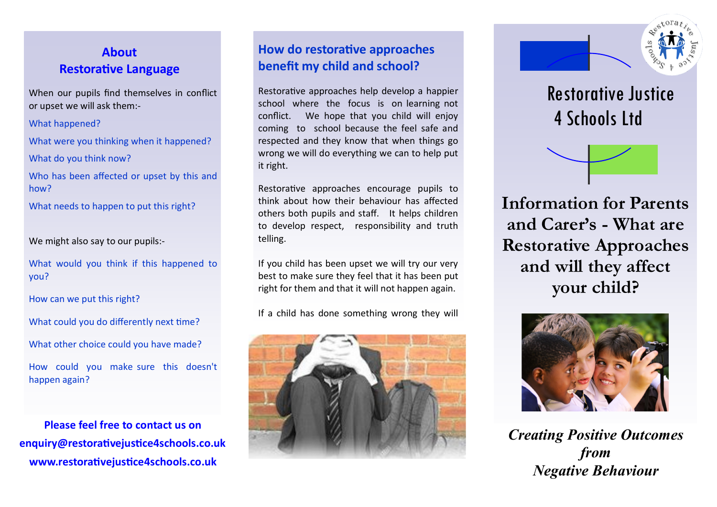# **About Restorative Language**

When our pupils find themselves in conflict or upset we will ask them:-

What happened?

What were you thinking when it happened?

What do you think now?

Who has been affected or upset by this and how?

What needs to happen to put this right?

We might also say to our pupils:-

What would you think if this happened to you?

How can we put this right?

What could you do differently next time?

What other choice could you have made?

How could you make sure this doesn't happen again?

**Please feel free to contact us on enquiry@restorativejustice4schools.co.uk www.restorativejustice4schools.co.uk**

## **How do restorative approaches benefit my child and school?**

Restorative approaches help develop a happier school where the focus is on learning not conflict. We hope that you child will enjoy coming to school because the feel safe and respected and they know that when things go wrong we will do everything we can to help put it right.

Restorative approaches encourage pupils to think about how their behaviour has affected others both pupils and staff. It helps children to develop respect, responsibility and truth telling.

If you child has been upset we will try our very best to make sure they feel that it has been put right for them and that it will not happen again.

If a child has done something wrong they will





 Restorative Justice 4 Schools Ltd



**Information for Parents and Carer's - What are Restorative Approaches and will they affect your child?**



*Creating Positive Outcomes from Negative Behaviour*